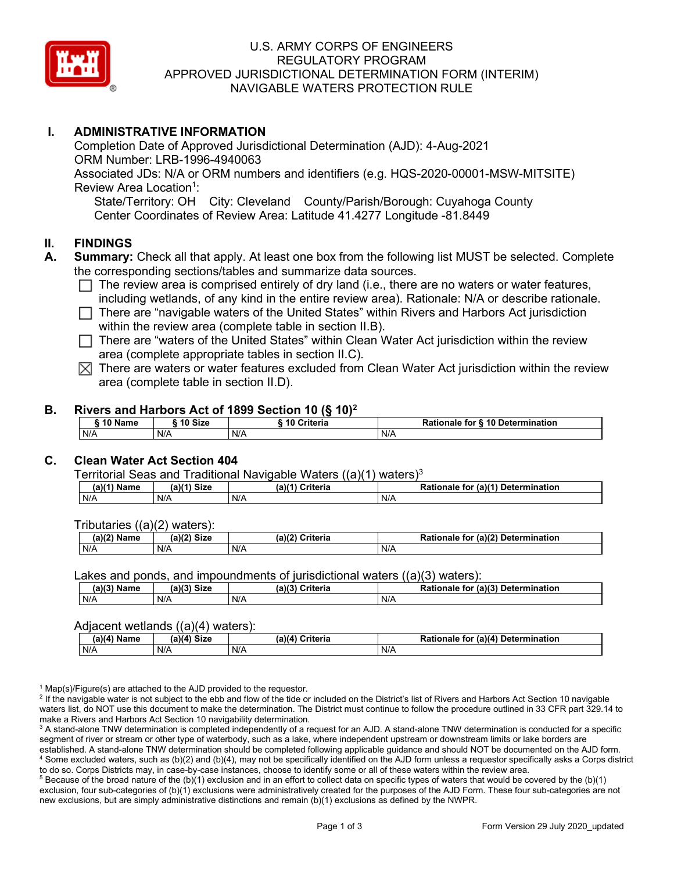

#### U.S. ARMY CORPS OF ENGINEERS REGULATORY PROGRAM APPROVED JURISDICTIONAL DETERMINATION FORM (INTERIM) NAVIGABLE WATERS PROTECTION RULE

## **I. ADMINISTRATIVE INFORMATION**

Completion Date of Approved Jurisdictional Determination (AJD): 4-Aug-2021 ORM Number: LRB-1996-4940063 Associated JDs: N/A or ORM numbers and identifiers (e.g. HQS-2020-00001-MSW-MITSITE) Review Area Location<sup>1</sup>:

State/Territory: OH City: Cleveland County/Parish/Borough: Cuyahoga County Center Coordinates of Review Area: Latitude 41.4277 Longitude -81.8449

#### **II. FINDINGS**

- **A. Summary:** Check all that apply. At least one box from the following list MUST be selected. Complete the corresponding sections/tables and summarize data sources.
	- $\Box$  The review area is comprised entirely of dry land (i.e., there are no waters or water features, including wetlands, of any kind in the entire review area). Rationale: N/A or describe rationale.
	- $\Box$  There are "navigable waters of the United States" within Rivers and Harbors Act jurisdiction within the review area (complete table in section II.B).
	- $\Box$  There are "waters of the United States" within Clean Water Act jurisdiction within the review area (complete appropriate tables in section II.C).
	- $\boxtimes$  There are waters or water features excluded from Clean Water Act jurisdiction within the review area (complete table in section II.D).

#### **B. Rivers and Harbors Act of 1899 Section 10 (§ 10)2**

| 10 Name | 10 Size | ີ 10 Criteria<br>ruerra | ⋅ § 10 Determination<br><b>Rationale for §</b> |
|---------|---------|-------------------------|------------------------------------------------|
| N/A     | N/A     | N/A                     | N/A                                            |

## **C. Clean Water Act Section 404**

Territorial Seas and Traditional Navigable Waters  $((a)(1)$  waters)<sup>3</sup>

| Nam<br>'am⊾ | (a)(4)<br><b>Size</b> | Criteria<br>(a) | $\alpha$ (a)( <sup>4)</sup><br>Determination<br>tor<br>onaie<br>kativ |
|-------------|-----------------------|-----------------|-----------------------------------------------------------------------|
| N/A         | N/A                   | N/A             | N/A                                                                   |

Tributaries ((a)(2) waters):

| н   | $\sim$<br>$\sim$ Cime<br>JILE | 21/2<br><br>пе | (2)<br><b>Determination</b><br>TOI<br>naie |
|-----|-------------------------------|----------------|--------------------------------------------|
| N/A | N/A                           | N/A            | N/A                                        |

Lakes and ponds, and impoundments of jurisdictional waters  $((a)(3)$  waters):

| (a)(3) Name | (a)(3) Size | (a)(?') | Criteria | <b>Rationale</b><br>for | $\mathcal{L}$ (a)(?)<br>Determination |
|-------------|-------------|---------|----------|-------------------------|---------------------------------------|
| N/A         | N/A         | N/A     |          | N/A                     |                                       |

#### Adjacent wetlands  $((a)(4)$  waters):

| $(a)(4)$ Name | (a)(4) Size | .<br>(a)(4) Criteria | Rationale for (a)(4) Determination |
|---------------|-------------|----------------------|------------------------------------|
| N/A           | N/f         | N/A                  | N/A                                |

 $1$  Map(s)/Figure(s) are attached to the AJD provided to the requestor.

<sup>2</sup> If the navigable water is not subject to the ebb and flow of the tide or included on the District's list of Rivers and Harbors Act Section 10 navigable waters list, do NOT use this document to make the determination. The District must continue to follow the procedure outlined in 33 CFR part 329.14 to make a Rivers and Harbors Act Section 10 navigability determination.

<sup>3</sup> A stand-alone TNW determination is completed independently of a request for an AJD. A stand-alone TNW determination is conducted for a specific segment of river or stream or other type of waterbody, such as a lake, where independent upstream or downstream limits or lake borders are established. A stand-alone TNW determination should be completed following applicable guidance and should NOT be documented on the AJD form. <sup>4</sup> Some excluded waters, such as (b)(2) and (b)(4), may not be specifically identified on the AJD form unless a requestor specifically asks a Corps district to do so. Corps Districts may, in case-by-case instances, choose to identify some or all of these waters within the review area.

 $5$  Because of the broad nature of the (b)(1) exclusion and in an effort to collect data on specific types of waters that would be covered by the (b)(1) exclusion, four sub-categories of (b)(1) exclusions were administratively created for the purposes of the AJD Form. These four sub-categories are not new exclusions, but are simply administrative distinctions and remain (b)(1) exclusions as defined by the NWPR.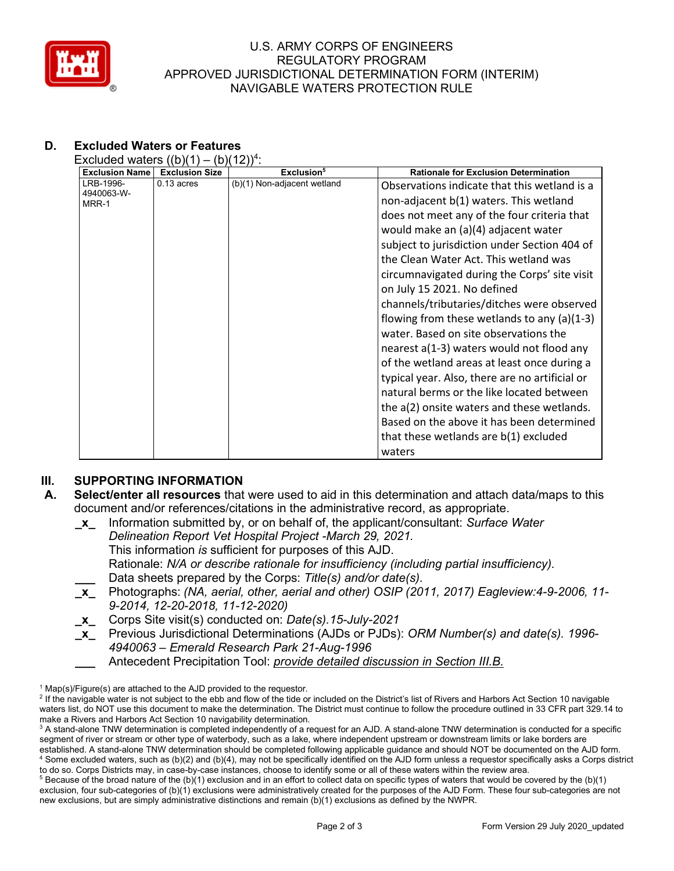

#### U.S. ARMY CORPS OF ENGINEERS REGULATORY PROGRAM APPROVED JURISDICTIONAL DETERMINATION FORM (INTERIM) NAVIGABLE WATERS PROTECTION RULE

# **D. Excluded Waters or Features**

Excluded waters  $((b)(1) - (b)(12))^4$ :

| <b>Exclusion Name</b> | <b>Exclusion Size</b> | Exclusion <sup>5</sup>      | <b>Rationale for Exclusion Determination</b>   |
|-----------------------|-----------------------|-----------------------------|------------------------------------------------|
| LRB-1996-             | $0.13$ acres          | (b)(1) Non-adjacent wetland | Observations indicate that this wetland is a   |
| 4940063-W-<br>MRR-1   |                       |                             | non-adjacent b(1) waters. This wetland         |
|                       |                       |                             | does not meet any of the four criteria that    |
|                       |                       |                             | would make an (a)(4) adjacent water            |
|                       |                       |                             | subject to jurisdiction under Section 404 of   |
|                       |                       |                             | the Clean Water Act. This wetland was          |
|                       |                       |                             | circumnavigated during the Corps' site visit   |
|                       |                       |                             | on July 15 2021. No defined                    |
|                       |                       |                             | channels/tributaries/ditches were observed     |
|                       |                       |                             | flowing from these wetlands to any $(a)(1-3)$  |
|                       |                       |                             | water. Based on site observations the          |
|                       |                       |                             | nearest a(1-3) waters would not flood any      |
|                       |                       |                             | of the wetland areas at least once during a    |
|                       |                       |                             | typical year. Also, there are no artificial or |
|                       |                       |                             | natural berms or the like located between      |
|                       |                       |                             | the a(2) onsite waters and these wetlands.     |
|                       |                       |                             | Based on the above it has been determined      |
|                       |                       |                             | that these wetlands are b(1) excluded          |
|                       |                       |                             | waters                                         |

## **III. SUPPORTING INFORMATION**

- **A. Select/enter all resources** that were used to aid in this determination and attach data/maps to this document and/or references/citations in the administrative record, as appropriate.
	- **\_x\_** Information submitted by, or on behalf of, the applicant/consultant: *Surface Water Delineation Report Vet Hospital Project -March 29, 2021.* This information *is* sufficient for purposes of this AJD. Rationale: *N/A or describe rationale for insufficiency (including partial insufficiency).* **\_\_\_** Data sheets prepared by the Corps: *Title(s) and/or date(s).* **\_x\_** Photographs: *(NA, aerial, other, aerial and other) OSIP (2011, 2017) Eagleview:4-9-2006, 11- 9-2014, 12-20-2018, 11-12-2020)* **\_x\_** Corps Site visit(s) conducted on: *Date(s).15-July-2021*
	- **\_x\_** Previous Jurisdictional Determinations (AJDs or PJDs): *ORM Number(s) and date(s). 1996- 4940063 – Emerald Research Park 21-Aug-1996*
		- **\_\_\_** Antecedent Precipitation Tool: *provide detailed discussion in Section III.B.*

 $1$  Map(s)/Figure(s) are attached to the AJD provided to the requestor.

<sup>&</sup>lt;sup>2</sup> If the navigable water is not subject to the ebb and flow of the tide or included on the District's list of Rivers and Harbors Act Section 10 navigable waters list, do NOT use this document to make the determination. The District must continue to follow the procedure outlined in 33 CFR part 329.14 to make a Rivers and Harbors Act Section 10 navigability determination.

<sup>&</sup>lt;sup>3</sup> A stand-alone TNW determination is completed independently of a request for an AJD. A stand-alone TNW determination is conducted for a specific segment of river or stream or other type of waterbody, such as a lake, where independent upstream or downstream limits or lake borders are established. A stand-alone TNW determination should be completed following applicable guidance and should NOT be documented on the AJD form. <sup>4</sup> Some excluded waters, such as (b)(2) and (b)(4), may not be specifically identified on the AJD form unless a requestor specifically asks a Corps district to do so. Corps Districts may, in case-by-case instances, choose to identify some or all of these waters within the review area.

 $5$  Because of the broad nature of the (b)(1) exclusion and in an effort to collect data on specific types of waters that would be covered by the (b)(1) exclusion, four sub-categories of (b)(1) exclusions were administratively created for the purposes of the AJD Form. These four sub-categories are not new exclusions, but are simply administrative distinctions and remain (b)(1) exclusions as defined by the NWPR.